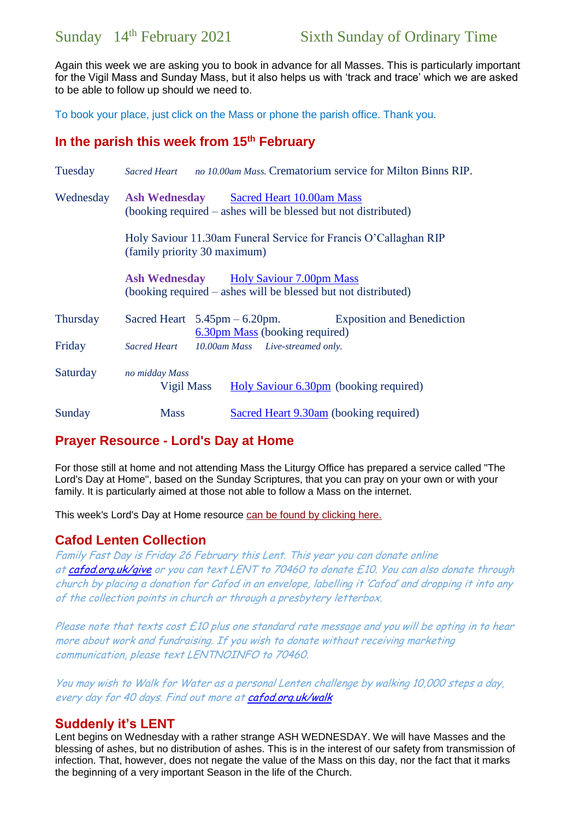Again this week we are asking you to book in advance for all Masses. This is particularly important for the Vigil Mass and Sunday Mass, but it also helps us with 'track and trace' which we are asked to be able to follow up should we need to.

To book your place, just click on the Mass or phone the parish office. Thank you.

## **In the parish this week from 15th February**

| Tuesday   | Sacred Heart no 10.00am Mass. Crematorium service for Milton Binns RIP.                                                 |
|-----------|-------------------------------------------------------------------------------------------------------------------------|
| Wednesday | <b>Ash Wednesday</b> Sacred Heart 10.00am Mass<br>(booking required – ashes will be blessed but not distributed)        |
|           | Holy Saviour 11.30am Funeral Service for Francis O'Callaghan RIP<br>(family priority 30 maximum)                        |
|           | <b>Ash Wednesday</b> Holy Saviour 7.00pm Mass<br>(booking required – ashes will be blessed but not distributed)         |
| Thursday  | <b>Exposition and Benediction</b><br>Sacred Heart $5.45 \text{pm} - 6.20 \text{pm}$ .<br>6.30pm Mass (booking required) |
| Friday    | 10.00am Mass Live-streamed only.<br>Sacred Heart                                                                        |
| Saturday  | no midday Mass<br>Holy Saviour 6.30pm (booking required)<br>Vigil Mass                                                  |
| Sunday    | <b>Mass</b><br>Sacred Heart 9.30am (booking required)                                                                   |

# **Prayer Resource - Lord's Day at Home**

For those still at home and not attending Mass the Liturgy Office has prepared a service called "The Lord's Day at Home", based on the Sunday Scriptures, that you can pray on your own or with your family. It is particularly aimed at those not able to follow a Mass on the internet.

This week's Lord's Day at Home resource [can be found by clicking here.](https://gbr01.safelinks.protection.outlook.com/?url=https%3A%2F%2Fdioceseofsalford.us6.list-manage.com%2Ftrack%2Fclick%3Fu%3D76e219dab8653b775ba8aac4c%26id%3De0d2b9f538%26e%3D5ce69633f0&data=04%7C01%7Cpeter.wilkinson%40dioceseofsalford.org.uk%7Cc08f73bc062a48ca388f08d8cda563a0%7C699a61ae142a45a090c604b2f08de19b%7C0%7C0%7C637485457507747852%7CUnknown%7CTWFpbGZsb3d8eyJWIjoiMC4wLjAwMDAiLCJQIjoiV2luMzIiLCJBTiI6Ik1haWwiLCJXVCI6Mn0%3D%7C1000&sdata=usljLVrSsiD8KxMbWxIniHOi9ysWtFsXDC4fFn5tdcs%3D&reserved=0)

## **Cafod Lenten Collection**

Family Fast Day is Friday 26 February this Lent. This year you can donate online at [cafod.org.uk/give](https://gbr01.safelinks.protection.outlook.com/?url=http%3A%2F%2Fcafod.org.uk%2Fgive&data=04%7C01%7Cpeter.wilkinson%40dioceseofsalford.org.uk%7C98861127b75f4fc64f9d08d8cdf72e2e%7C699a61ae142a45a090c604b2f08de19b%7C0%7C0%7C637485808797065480%7CUnknown%7CTWFpbGZsb3d8eyJWIjoiMC4wLjAwMDAiLCJQIjoiV2luMzIiLCJBTiI6Ik1haWwiLCJXVCI6Mn0%3D%7C1000&sdata=wft8p8Mw%2Fbdo%2BhdyjNlLcUkZ0yUfuoVzONbG3adwuB0%3D&reserved=0) or you can text LENT to 70460 to donate £10. You can also donate through church by placing a donation for Cafod in an envelope, labelling it 'Cafod' and dropping it into any of the collection points in church or through a presbytery letterbox.

Please note that texts cost  $E10$  plus one standard rate message and you will be opting in to hear more about work and fundraising. If you wish to donate without receiving marketing communication, please text LENTNOINFO to 70460.

You may wish to Walk for Water as a personal Lenten challenge by walking 10,000 steps a day, every day for 40 days. Find out more at cafod.org.uk/walk

## **Suddenly it's LENT**

Lent begins on Wednesday with a rather strange ASH WEDNESDAY. We will have Masses and the blessing of ashes, but no distribution of ashes. This is in the interest of our safety from transmission of infection. That, however, does not negate the value of the Mass on this day, nor the fact that it marks the beginning of a very important Season in the life of the Church.